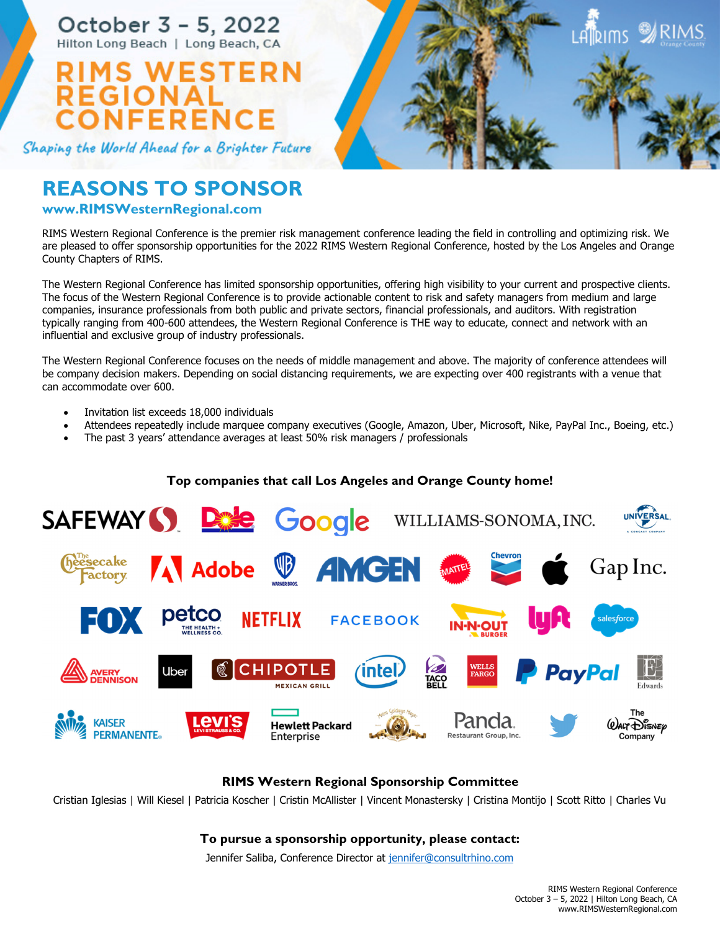October 3 - 5, 2022 Hilton Long Beach | Long Beach, CA

# WESTERN **NFERENCE**

Shaping the World Ahead for a Brighter Future

# **REASONS TO SPONSOR**

# **www.RIMSWesternRegional.com**

RIMS Western Regional Conference is the premier risk management conference leading the field in controlling and optimizing risk. We are pleased to offer sponsorship opportunities for the 2022 RIMS Western Regional Conference, hosted by the Los Angeles and Orange County Chapters of RIMS.

The Western Regional Conference has limited sponsorship opportunities, offering high visibility to your current and prospective clients. The focus of the Western Regional Conference is to provide actionable content to risk and safety managers from medium and large companies, insurance professionals from both public and private sectors, financial professionals, and auditors. With registration typically ranging from 400-600 attendees, the Western Regional Conference is THE way to educate, connect and network with an influential and exclusive group of industry professionals.

The Western Regional Conference focuses on the needs of middle management and above. The majority of conference attendees will be company decision makers. Depending on social distancing requirements, we are expecting over 400 registrants with a venue that can accommodate over 600.

- Invitation list exceeds 18,000 individuals
- Attendees repeatedly include marquee company executives (Google, Amazon, Uber, Microsoft, Nike, PayPal Inc., Boeing, etc.)
- The past 3 years' attendance averages at least 50% risk managers / professionals

# **Top companies that call Los Angeles and Orange County home!**



**RIMS Western Regional Sponsorship Committee** 

Cristian Iglesias | Will Kiesel | Patricia Koscher | Cristin McAllister | Vincent Monastersky | Cristina Montijo | Scott Ritto | Charles Vu

# **To pursue a sponsorship opportunity, please contact:**

Jennifer Saliba, Conference Director at jennifer@consultrhino.com

**Alleims X**RIMS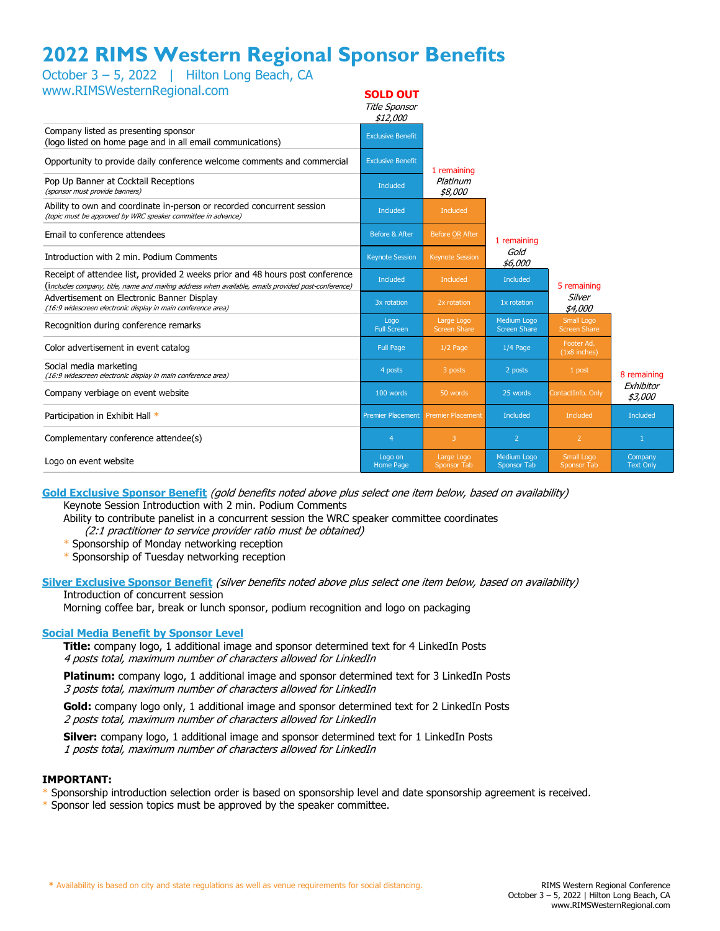# **2022 RIMS Western Regional Sponsor Benefits**

October 3 – 5, 2022 | Hilton Long Beach, CA

| www.RIMSWesternRegional.com                                                                                                                                                          | <b>SOLD OUT</b><br>Title Sponsor<br>\$12,000 |                                   |                                    |                                          |                             |
|--------------------------------------------------------------------------------------------------------------------------------------------------------------------------------------|----------------------------------------------|-----------------------------------|------------------------------------|------------------------------------------|-----------------------------|
| Company listed as presenting sponsor<br>(logo listed on home page and in all email communications)                                                                                   | <b>Exclusive Benefit</b>                     |                                   |                                    |                                          |                             |
| Opportunity to provide daily conference welcome comments and commercial                                                                                                              | <b>Exclusive Benefit</b>                     | 1 remaining                       |                                    |                                          |                             |
| Pop Up Banner at Cocktail Receptions<br>(sponsor must provide banners)                                                                                                               | <b>Included</b>                              | Platinum<br>\$8,000               |                                    |                                          |                             |
| Ability to own and coordinate in-person or recorded concurrent session<br>(topic must be approved by WRC speaker committee in advance)                                               | <b>Included</b>                              | Included                          |                                    |                                          |                             |
| Email to conference attendees                                                                                                                                                        | Before & After                               | Before OR After                   | 1 remaining                        |                                          |                             |
| Introduction with 2 min. Podium Comments                                                                                                                                             | <b>Keynote Session</b>                       | <b>Keynote Session</b>            | Gold<br>\$6,000                    |                                          |                             |
| Receipt of attendee list, provided 2 weeks prior and 48 hours post conference<br>(includes company, title, name and mailing address when available, emails provided post-conference) | <b>Included</b>                              | <b>Included</b>                   | <b>Included</b>                    | 5 remaining                              |                             |
| Advertisement on Electronic Banner Display<br>(16:9 widescreen electronic display in main conference area)                                                                           | 3x rotation                                  | 2x rotation                       | 1x rotation                        | Silver<br>\$4,000                        |                             |
| Recognition during conference remarks                                                                                                                                                | Logo<br><b>Full Screen</b>                   | Large Logo<br><b>Screen Share</b> | Medium Logo<br><b>Screen Share</b> | <b>Small Logo</b><br><b>Screen Share</b> |                             |
| Color advertisement in event catalog                                                                                                                                                 | <b>Full Page</b>                             | $1/2$ Page                        | $1/4$ Page                         | Footer Ad.<br>$(1x8$ inches)             |                             |
| Social media marketing<br>(16:9 widescreen electronic display in main conference area)                                                                                               | 4 posts                                      | 3 posts                           | 2 posts                            | 1 post                                   | 8 remaining                 |
| Company verbiage on event website                                                                                                                                                    | 100 words                                    | 50 words                          | 25 words                           | ContactInfo. Only                        | Exhibitor<br>\$3,000        |
| Participation in Exhibit Hall *                                                                                                                                                      | <b>Premier Placement</b>                     | <b>Premier Placement</b>          | Included                           | Included                                 | <b>Included</b>             |
| Complementary conference attendee(s)                                                                                                                                                 | $\overline{4}$                               | 3                                 | 2                                  | $\overline{2}$                           | $\mathbf{1}$                |
| Logo on event website                                                                                                                                                                | Logo on<br>Home Page                         | Large Logo<br><b>Sponsor Tab</b>  | Medium Logo<br>Sponsor Tab         | Small Logo<br>Sponsor Tab                | Company<br><b>Text Only</b> |

#### **Gold Exclusive Sponsor Benefit** (gold benefits noted above plus select one item below, based on availability) Keynote Session Introduction with 2 min. Podium Comments

Ability to contribute panelist in a concurrent session the WRC speaker committee coordinates

(2:1 practitioner to service provider ratio must be obtained)

\* Sponsorship of Monday networking reception

\* Sponsorship of Tuesday networking reception

#### **Silver Exclusive Sponsor Benefit** (silver benefits noted above plus select one item below, based on availability) Introduction of concurrent session

Morning coffee bar, break or lunch sponsor, podium recognition and logo on packaging

### **Social Media Benefit by Sponsor Level**

**Title:** company logo, 1 additional image and sponsor determined text for 4 LinkedIn Posts 4 posts total, maximum number of characters allowed for LinkedIn

**Platinum:** company logo, 1 additional image and sponsor determined text for 3 LinkedIn Posts 3 posts total, maximum number of characters allowed for LinkedIn

**Gold:** company logo only, 1 additional image and sponsor determined text for 2 LinkedIn Posts 2 posts total, maximum number of characters allowed for LinkedIn

**Silver:** company logo, 1 additional image and sponsor determined text for 1 LinkedIn Posts 1 posts total, maximum number of characters allowed for LinkedIn

### **IMPORTANT:**

Sponsorship introduction selection order is based on sponsorship level and date sponsorship agreement is received.

\* Sponsor led session topics must be approved by the speaker committee.